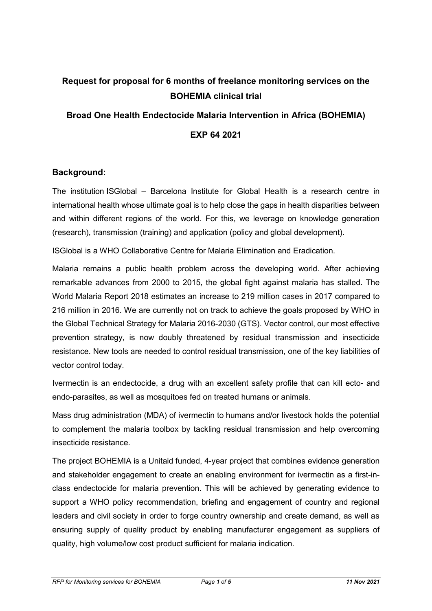# **Request for proposal for 6 months of freelance monitoring services on the BOHEMIA clinical trial**

## **Broad One Health Endectocide Malaria Intervention in Africa (BOHEMIA)**

**EXP 64 2021**

## **Background:**

The institution ISGlobal – Barcelona Institute for Global Health is a research centre in international health whose ultimate goal is to help close the gaps in health disparities between and within different regions of the world. For this, we leverage on knowledge generation (research), transmission (training) and application (policy and global development).

ISGlobal is a WHO Collaborative Centre for Malaria Elimination and Eradication.

Malaria remains a public health problem across the developing world. After achieving remarkable advances from 2000 to 2015, the global fight against malaria has stalled. The World Malaria Report 2018 estimates an increase to 219 million cases in 2017 compared to 216 million in 2016. We are currently not on track to achieve the goals proposed by WHO in the Global Technical Strategy for Malaria 2016-2030 (GTS). Vector control, our most effective prevention strategy, is now doubly threatened by residual transmission and insecticide resistance. New tools are needed to control residual transmission, one of the key liabilities of vector control today.

Ivermectin is an endectocide, a drug with an excellent safety profile that can kill ecto- and endo-parasites, as well as mosquitoes fed on treated humans or animals.

Mass drug administration (MDA) of ivermectin to humans and/or livestock holds the potential to complement the malaria toolbox by tackling residual transmission and help overcoming insecticide resistance.

The project BOHEMIA is a Unitaid funded, 4-year project that combines evidence generation and stakeholder engagement to create an enabling environment for ivermectin as a first-inclass endectocide for malaria prevention. This will be achieved by generating evidence to support a WHO policy recommendation, briefing and engagement of country and regional leaders and civil society in order to forge country ownership and create demand, as well as ensuring supply of quality product by enabling manufacturer engagement as suppliers of quality, high volume/low cost product sufficient for malaria indication.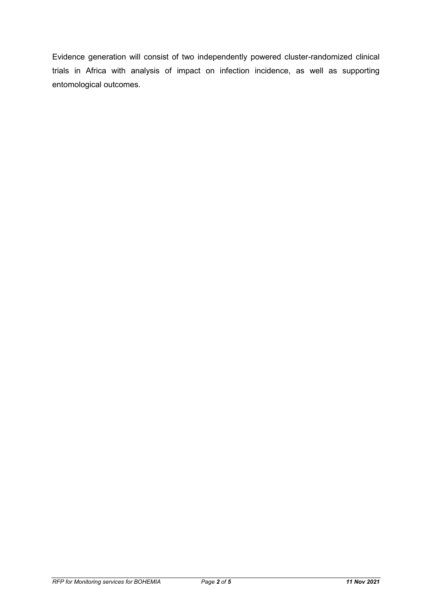Evidence generation will consist of two independently powered cluster-randomized clinical trials in Africa with analysis of impact on infection incidence, as well as supporting entomological outcomes.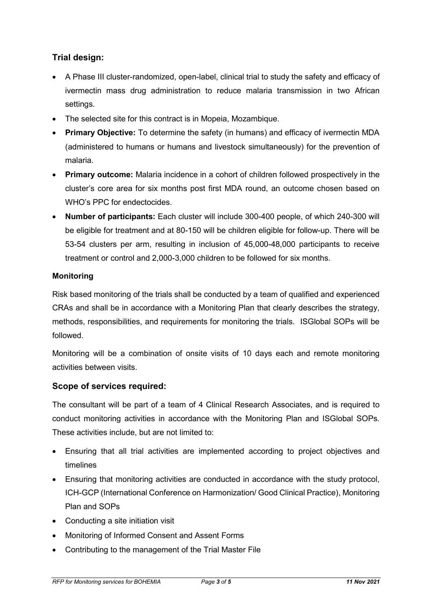## **Trial design:**

- A Phase III cluster-randomized, open-label, clinical trial to study the safety and efficacy of ivermectin mass drug administration to reduce malaria transmission in two African settings.
- The selected site for this contract is in Mopeia, Mozambique.
- **Primary Objective:** To determine the safety (in humans) and efficacy of ivermectin MDA (administered to humans or humans and livestock simultaneously) for the prevention of malaria.
- **Primary outcome:** Malaria incidence in a cohort of children followed prospectively in the cluster's core area for six months post first MDA round, an outcome chosen based on WHO's PPC for endectocides.
- **Number of participants:** Each cluster will include 300-400 people, of which 240-300 will be eligible for treatment and at 80-150 will be children eligible for follow-up. There will be 53-54 clusters per arm, resulting in inclusion of 45,000-48,000 participants to receive treatment or control and 2,000-3,000 children to be followed for six months.

## **Monitoring**

Risk based monitoring of the trials shall be conducted by a team of qualified and experienced CRAs and shall be in accordance with a Monitoring Plan that clearly describes the strategy, methods, responsibilities, and requirements for monitoring the trials. ISGlobal SOPs will be followed.

Monitoring will be a combination of onsite visits of 10 days each and remote monitoring activities between visits.

## **Scope of services required:**

The consultant will be part of a team of 4 Clinical Research Associates, and is required to conduct monitoring activities in accordance with the Monitoring Plan and ISGlobal SOPs. These activities include, but are not limited to:

- Ensuring that all trial activities are implemented according to project objectives and timelines
- Ensuring that monitoring activities are conducted in accordance with the study protocol, ICH-GCP (International Conference on Harmonization/ Good Clinical Practice), Monitoring Plan and SOPs
- Conducting a site initiation visit
- Monitoring of Informed Consent and Assent Forms
- Contributing to the management of the Trial Master File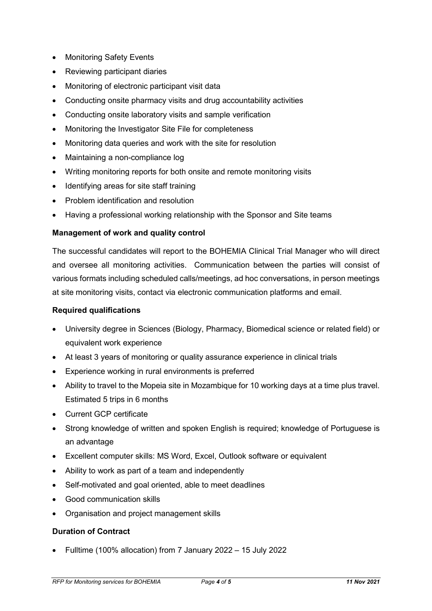- Monitoring Safety Events
- Reviewing participant diaries
- Monitoring of electronic participant visit data
- Conducting onsite pharmacy visits and drug accountability activities
- Conducting onsite laboratory visits and sample verification
- Monitoring the Investigator Site File for completeness
- Monitoring data queries and work with the site for resolution
- Maintaining a non-compliance log
- Writing monitoring reports for both onsite and remote monitoring visits
- Identifying areas for site staff training
- Problem identification and resolution
- Having a professional working relationship with the Sponsor and Site teams

#### **Management of work and quality control**

The successful candidates will report to the BOHEMIA Clinical Trial Manager who will direct and oversee all monitoring activities. Communication between the parties will consist of various formats including scheduled calls/meetings, ad hoc conversations, in person meetings at site monitoring visits, contact via electronic communication platforms and email.

#### **Required qualifications**

- University degree in Sciences (Biology, Pharmacy, Biomedical science or related field) or equivalent work experience
- At least 3 years of monitoring or quality assurance experience in clinical trials
- Experience working in rural environments is preferred
- Ability to travel to the Mopeia site in Mozambique for 10 working days at a time plus travel. Estimated 5 trips in 6 months
- Current GCP certificate
- Strong knowledge of written and spoken English is required; knowledge of Portuguese is an advantage
- Excellent computer skills: MS Word, Excel, Outlook software or equivalent
- Ability to work as part of a team and independently
- Self-motivated and goal oriented, able to meet deadlines
- Good communication skills
- Organisation and project management skills

#### **Duration of Contract**

• Fulltime (100% allocation) from 7 January 2022 – 15 July 2022